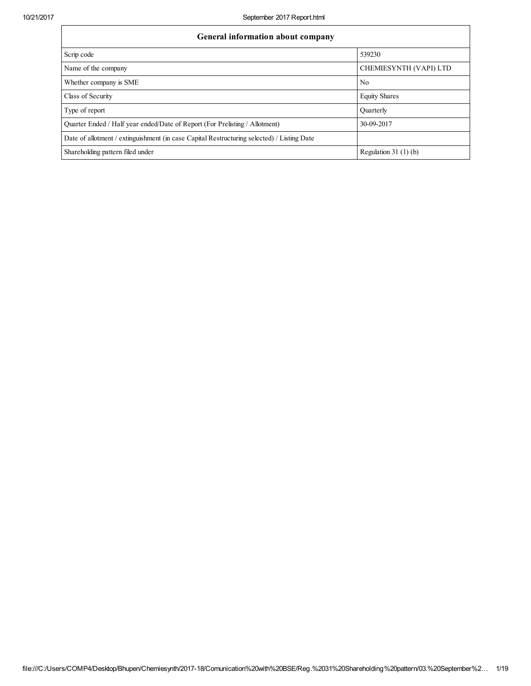| General information about company                                                          |                        |  |  |  |  |  |
|--------------------------------------------------------------------------------------------|------------------------|--|--|--|--|--|
| Scrip code                                                                                 | 539230                 |  |  |  |  |  |
| Name of the company                                                                        | CHEMIESYNTH (VAPI) LTD |  |  |  |  |  |
| Whether company is SME                                                                     | N <sub>0</sub>         |  |  |  |  |  |
| Class of Security                                                                          | <b>Equity Shares</b>   |  |  |  |  |  |
| Type of report                                                                             | Quarterly              |  |  |  |  |  |
| Quarter Ended / Half year ended/Date of Report (For Prelisting / Allotment)                | 30-09-2017             |  |  |  |  |  |
| Date of allotment / extinguishment (in case Capital Restructuring selected) / Listing Date |                        |  |  |  |  |  |
| Shareholding pattern filed under                                                           | Regulation $31(1)(b)$  |  |  |  |  |  |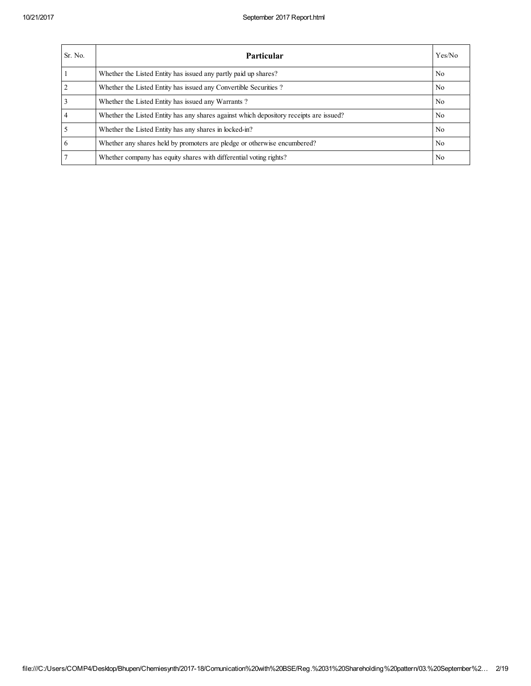| Sr. No. | Particular                                                                             | Yes/No         |
|---------|----------------------------------------------------------------------------------------|----------------|
|         | Whether the Listed Entity has issued any partly paid up shares?                        | No.            |
|         | Whether the Listed Entity has issued any Convertible Securities?                       | No.            |
|         | Whether the Listed Entity has issued any Warrants?                                     | N <sub>0</sub> |
|         | Whether the Listed Entity has any shares against which depository receipts are issued? | N <sub>0</sub> |
|         | Whether the Listed Entity has any shares in locked-in?                                 | No.            |
| 6       | Whether any shares held by promoters are pledge or otherwise encumbered?               | No.            |
|         | Whether company has equity shares with differential voting rights?                     | No.            |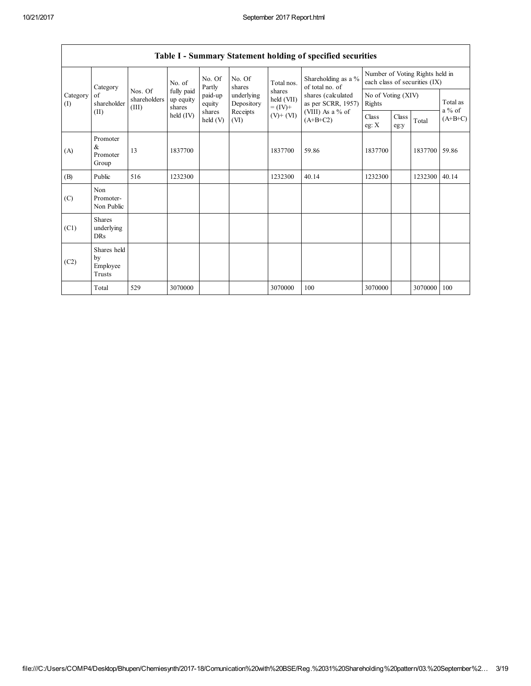|                                           | Table 1 - Summary Statement holding of specified securities |                                  |                                                          |                    |                                                                  |                                                                    |                                                                                                                        |                                                                  |               |               |                       |
|-------------------------------------------|-------------------------------------------------------------|----------------------------------|----------------------------------------------------------|--------------------|------------------------------------------------------------------|--------------------------------------------------------------------|------------------------------------------------------------------------------------------------------------------------|------------------------------------------------------------------|---------------|---------------|-----------------------|
| Category<br>of<br>Category<br>(1)<br>(II) |                                                             |                                  | No. of<br>fully paid<br>up equity<br>shares<br>held (IV) | No. Of<br>Partly   | No. Of<br>shares<br>underlying<br>Depository<br>Receipts<br>(VI) | Total nos.<br>shares<br>held (VII)<br>$= (IV) +$<br>$(V)$ + $(VI)$ | Shareholding as a %<br>of total no. of<br>shares (calculated<br>as per SCRR, 1957)<br>(VIII) As a $%$ of<br>$(A+B+C2)$ | Number of Voting Rights held in<br>each class of securities (IX) |               |               |                       |
|                                           | shareholder                                                 | Nos. Of<br>shareholders<br>(III) |                                                          | paid-up<br>equity  |                                                                  |                                                                    |                                                                                                                        | No of Voting (XIV)<br>Rights                                     |               |               | Total as              |
|                                           |                                                             |                                  |                                                          | shares<br>held (V) |                                                                  |                                                                    |                                                                                                                        | Class<br>eg: X                                                   | Class<br>eg:y | Total         | $a\%$ of<br>$(A+B+C)$ |
| (A)                                       | Promoter<br>&<br>Promoter<br>Group                          | 13                               | 1837700                                                  |                    |                                                                  | 1837700                                                            | 59.86                                                                                                                  | 1837700                                                          |               | 1837700 59.86 |                       |
| (B)                                       | Public                                                      | 516                              | 1232300                                                  |                    |                                                                  | 1232300                                                            | 40.14                                                                                                                  | 1232300                                                          |               | 1232300       | 40.14                 |
| (C)                                       | Non<br>Promoter-<br>Non Public                              |                                  |                                                          |                    |                                                                  |                                                                    |                                                                                                                        |                                                                  |               |               |                       |
| (C1)                                      | <b>Shares</b><br>underlying<br>DRs                          |                                  |                                                          |                    |                                                                  |                                                                    |                                                                                                                        |                                                                  |               |               |                       |
| (C2)                                      | Shares held<br>by<br>Employee<br>Trusts                     |                                  |                                                          |                    |                                                                  |                                                                    |                                                                                                                        |                                                                  |               |               |                       |
|                                           | Total                                                       | 529                              | 3070000                                                  |                    |                                                                  | 3070000                                                            | 100                                                                                                                    | 3070000                                                          |               | 3070000       | 100                   |

# Table I - Summary Statement holding of specified securities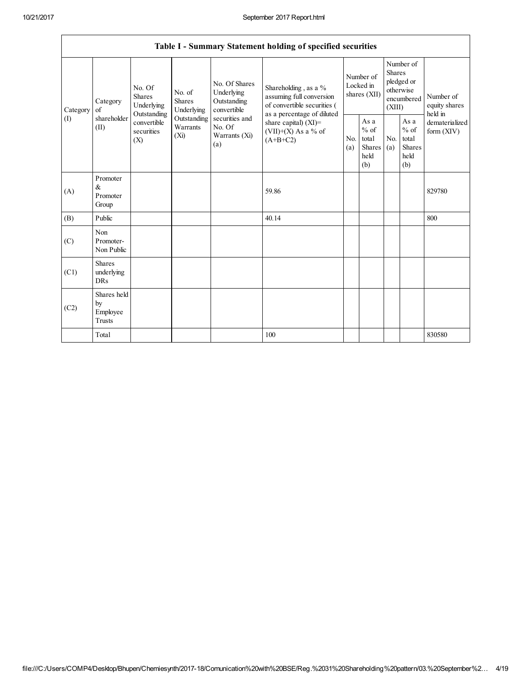|                 | Table I - Summary Statement holding of specified securities                                          |             |                                                                          |                                                                                                               |                                                                                                                                                                                 |                                        |                                                   |                                                                               |                                                         |                                       |  |
|-----------------|------------------------------------------------------------------------------------------------------|-------------|--------------------------------------------------------------------------|---------------------------------------------------------------------------------------------------------------|---------------------------------------------------------------------------------------------------------------------------------------------------------------------------------|----------------------------------------|---------------------------------------------------|-------------------------------------------------------------------------------|---------------------------------------------------------|---------------------------------------|--|
| Category<br>(I) | No. Of<br><b>Shares</b><br>Category<br>of<br>Outstanding<br>shareholder<br>(II)<br>securities<br>(X) | Underlying  | No. of<br><b>Shares</b><br>Underlying<br>Outstanding<br>Warrants<br>(Xi) | No. Of Shares<br>Underlying<br>Outstanding<br>convertible<br>securities and<br>No. Of<br>Warrants (Xi)<br>(a) | Shareholding, as a %<br>assuming full conversion<br>of convertible securities (<br>as a percentage of diluted<br>share capital) $(XI)$ =<br>$(VII)+(X)$ As a % of<br>$(A+B+C2)$ | Number of<br>Locked in<br>shares (XII) |                                                   | Number of<br><b>Shares</b><br>pledged or<br>otherwise<br>encumbered<br>(XIII) |                                                         | Number of<br>equity shares<br>held in |  |
|                 |                                                                                                      | convertible |                                                                          |                                                                                                               |                                                                                                                                                                                 | N <sub>0</sub><br>(a)                  | As a<br>$\%$ of<br>total<br>Shares<br>held<br>(b) | N <sub>0</sub><br>(a)                                                         | As a<br>$%$ of<br>total<br><b>Shares</b><br>held<br>(b) | dematerialized<br>form $(XIV)$        |  |
| (A)             | Promoter<br>$\&$<br>Promoter<br>Group                                                                |             |                                                                          |                                                                                                               | 59.86                                                                                                                                                                           |                                        |                                                   |                                                                               |                                                         | 829780                                |  |
| (B)             | Public                                                                                               |             |                                                                          |                                                                                                               | 40.14                                                                                                                                                                           |                                        |                                                   |                                                                               |                                                         | 800                                   |  |
| (C)             | Non<br>Promoter-<br>Non Public                                                                       |             |                                                                          |                                                                                                               |                                                                                                                                                                                 |                                        |                                                   |                                                                               |                                                         |                                       |  |
| (C1)            | <b>Shares</b><br>underlying<br><b>DRs</b>                                                            |             |                                                                          |                                                                                                               |                                                                                                                                                                                 |                                        |                                                   |                                                                               |                                                         |                                       |  |
| (C2)            | Shares held<br>by<br>Employee<br>Trusts                                                              |             |                                                                          |                                                                                                               |                                                                                                                                                                                 |                                        |                                                   |                                                                               |                                                         |                                       |  |
|                 | Total                                                                                                |             |                                                                          |                                                                                                               | 100                                                                                                                                                                             |                                        |                                                   |                                                                               |                                                         | 830580                                |  |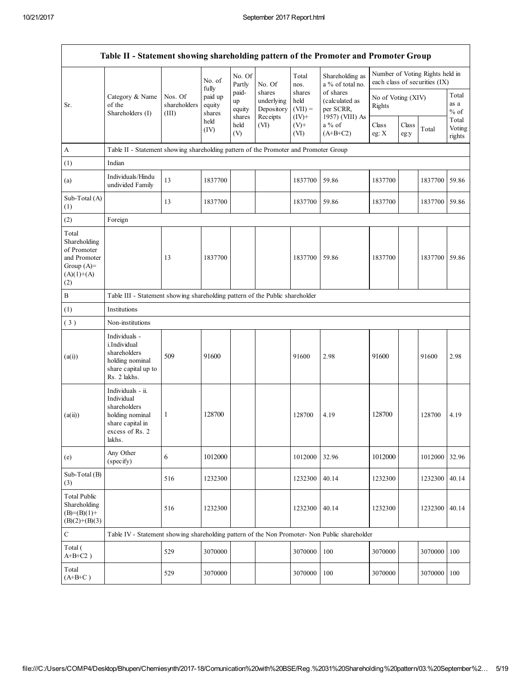$\mathbf{r}$ 

| Table II - Statement showing shareholding pattern of the Promoter and Promoter Group        |                                                                                                                     |                                  |                             |                                 |                                                |                                         |                                                             |                              |               |                                                                  |                           |
|---------------------------------------------------------------------------------------------|---------------------------------------------------------------------------------------------------------------------|----------------------------------|-----------------------------|---------------------------------|------------------------------------------------|-----------------------------------------|-------------------------------------------------------------|------------------------------|---------------|------------------------------------------------------------------|---------------------------|
|                                                                                             |                                                                                                                     |                                  | No. of<br>fully             | No. Of<br>Partly                | No. Of                                         | Total<br>nos.                           | Shareholding as<br>a % of total no.                         |                              |               | Number of Voting Rights held in<br>each class of securities (IX) |                           |
| of the<br>Sr.                                                                               | Category & Name<br>Shareholders (I)                                                                                 | Nos. Of<br>shareholders<br>(III) | paid up<br>equity<br>shares | paid-<br>up<br>equity<br>shares | shares<br>underlying<br>Depository<br>Receipts | shares<br>held<br>$(VII) =$<br>$(IV)^+$ | of shares<br>(calculated as<br>per SCRR,<br>1957) (VIII) As | No of Voting (XIV)<br>Rights |               |                                                                  | Total<br>as a<br>$\%$ of  |
|                                                                                             |                                                                                                                     |                                  | held<br>(IV)                | held<br>(V)                     | (VI)                                           | $(V)+$<br>(VI)                          | $a\%$ of<br>$(A+B+C2)$                                      | Class<br>eg: X               | Class<br>eg:y | Total                                                            | Total<br>Voting<br>rights |
| $\mathbf{A}$                                                                                | Table II - Statement showing shareholding pattern of the Promoter and Promoter Group                                |                                  |                             |                                 |                                                |                                         |                                                             |                              |               |                                                                  |                           |
| (1)                                                                                         | Indian                                                                                                              |                                  |                             |                                 |                                                |                                         |                                                             |                              |               |                                                                  |                           |
| (a)                                                                                         | Individuals/Hindu<br>undivided Family                                                                               | 13                               | 1837700                     |                                 |                                                | 1837700                                 | 59.86                                                       | 1837700                      |               | 1837700                                                          | 59.86                     |
| Sub-Total (A)<br>(1)                                                                        |                                                                                                                     | 13                               | 1837700                     |                                 |                                                | 1837700                                 | 59.86                                                       | 1837700                      |               | 1837700                                                          | 59.86                     |
| (2)                                                                                         | Foreign                                                                                                             |                                  |                             |                                 |                                                |                                         |                                                             |                              |               |                                                                  |                           |
| Total<br>Shareholding<br>of Promoter<br>and Promoter<br>Group $(A)=$<br>$(A)(1)+(A)$<br>(2) |                                                                                                                     | 13                               | 1837700                     |                                 |                                                | 1837700                                 | 59.86                                                       | 1837700                      |               | 1837700                                                          | 59.86                     |
| $\, {\bf B}$                                                                                | Table III - Statement showing shareholding pattern of the Public shareholder                                        |                                  |                             |                                 |                                                |                                         |                                                             |                              |               |                                                                  |                           |
| (1)                                                                                         | Institutions                                                                                                        |                                  |                             |                                 |                                                |                                         |                                                             |                              |               |                                                                  |                           |
| (3)                                                                                         | Non-institutions                                                                                                    |                                  |                             |                                 |                                                |                                         |                                                             |                              |               |                                                                  |                           |
| (a(i))                                                                                      | Individuals -<br>i.Individual<br>shareholders<br>holding nominal<br>share capital up to<br>Rs. 2 lakhs.             | 509                              | 91600                       |                                 |                                                | 91600                                   | 2.98                                                        | 91600                        |               | 91600                                                            | 2.98                      |
| (a(ii))                                                                                     | Individuals - ii.<br>Individual<br>shareholders<br>holding nominal<br>share capital in<br>excess of Rs. 2<br>lakhs. | 1                                | 128700                      |                                 |                                                | 128700                                  | 4.19                                                        | 128700                       |               | 128700                                                           | 4.19                      |
| (e)                                                                                         | Any Other<br>(specify)                                                                                              | 6                                | 1012000                     |                                 |                                                | 1012000                                 | 32.96                                                       | 1012000                      |               | 1012000                                                          | 32.96                     |
| Sub-Total (B)<br>(3)                                                                        |                                                                                                                     | 516                              | 1232300                     |                                 |                                                | 1232300                                 | 40.14                                                       | 1232300                      |               | 1232300                                                          | 40.14                     |
| <b>Total Public</b><br>Shareholding<br>$(B)=(B)(1)+$<br>$(B)(2)+(B)(3)$                     |                                                                                                                     | 516                              | 1232300                     |                                 |                                                | 1232300                                 | 40.14                                                       | 1232300                      |               | 1232300                                                          | 40.14                     |
| $\mathbf C$                                                                                 | Table IV - Statement showing shareholding pattern of the Non Promoter- Non Public shareholder                       |                                  |                             |                                 |                                                |                                         |                                                             |                              |               |                                                                  |                           |
| Total (<br>$A+B+C2$ )                                                                       |                                                                                                                     | 529                              | 3070000                     |                                 |                                                | 3070000                                 | 100                                                         | 3070000                      |               | 3070000                                                          | 100                       |
| Total<br>$(A+B+C)$                                                                          |                                                                                                                     | 529                              | 3070000                     |                                 |                                                | 3070000                                 | 100                                                         | 3070000                      |               | 3070000                                                          | 100                       |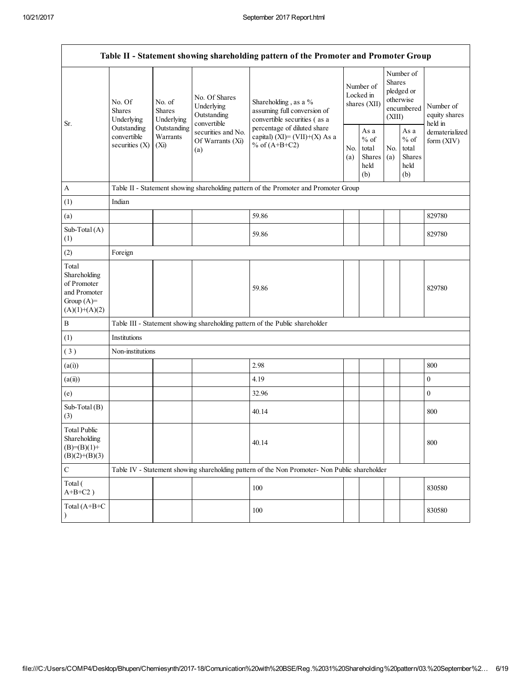$\mathbf{r}$ 

| Table II - Statement showing shareholding pattern of the Promoter and Promoter Group    |                                                                                         |                                                                                     |                                                           |                                                                                               |            |                                                         |            |                                                                        |                                       |  |
|-----------------------------------------------------------------------------------------|-----------------------------------------------------------------------------------------|-------------------------------------------------------------------------------------|-----------------------------------------------------------|-----------------------------------------------------------------------------------------------|------------|---------------------------------------------------------|------------|------------------------------------------------------------------------|---------------------------------------|--|
| Sr.                                                                                     | No. Of<br><b>Shares</b><br>Underlying<br>Outstanding<br>convertible<br>securities $(X)$ | No. of<br><b>Shares</b><br>Underlying                                               | No. Of Shares<br>Underlying<br>Outstanding<br>convertible | Shareholding, as a %<br>assuming full conversion of<br>convertible securities (as a           |            | Number of<br>Locked in<br>shares (XII)                  |            | Number of<br>Shares<br>pledged or<br>otherwise<br>encumbered<br>(XIII) | Number of<br>equity shares<br>held in |  |
|                                                                                         |                                                                                         | Outstanding<br>securities and No.<br>Warrants<br>Of Warrants (Xi)<br>$(X_i)$<br>(a) |                                                           | percentage of diluted share<br>capital) $(XI) = (VII)+(X) As a$<br>% of $(A+B+C2)$            | No.<br>(a) | As a<br>$%$ of<br>total<br><b>Shares</b><br>held<br>(b) | No.<br>(a) | As a<br>$%$ of<br>total<br>Shares<br>held<br>(b)                       | dematerialized<br>form (XIV)          |  |
| $\boldsymbol{A}$                                                                        |                                                                                         |                                                                                     |                                                           | Table II - Statement showing shareholding pattern of the Promoter and Promoter Group          |            |                                                         |            |                                                                        |                                       |  |
| (1)                                                                                     | Indian                                                                                  |                                                                                     |                                                           |                                                                                               |            |                                                         |            |                                                                        |                                       |  |
| (a)                                                                                     |                                                                                         |                                                                                     |                                                           | 59.86                                                                                         |            |                                                         |            |                                                                        | 829780                                |  |
| Sub-Total (A)<br>(1)                                                                    |                                                                                         |                                                                                     |                                                           | 59.86                                                                                         |            |                                                         |            |                                                                        | 829780                                |  |
| (2)                                                                                     | Foreign                                                                                 |                                                                                     |                                                           |                                                                                               |            |                                                         |            |                                                                        |                                       |  |
| Total<br>Shareholding<br>of Promoter<br>and Promoter<br>Group $(A)=$<br>$(A)(1)+(A)(2)$ |                                                                                         |                                                                                     |                                                           | 59.86                                                                                         |            |                                                         |            |                                                                        | 829780                                |  |
| $\, {\bf B}$                                                                            |                                                                                         |                                                                                     |                                                           | Table III - Statement showing shareholding pattern of the Public shareholder                  |            |                                                         |            |                                                                        |                                       |  |
| (1)                                                                                     | Institutions                                                                            |                                                                                     |                                                           |                                                                                               |            |                                                         |            |                                                                        |                                       |  |
| (3)                                                                                     | Non-institutions                                                                        |                                                                                     |                                                           |                                                                                               |            |                                                         |            |                                                                        |                                       |  |
| (a(i))                                                                                  |                                                                                         |                                                                                     |                                                           | 2.98                                                                                          |            |                                                         |            |                                                                        | 800                                   |  |
| (a(ii))                                                                                 |                                                                                         |                                                                                     |                                                           | 4.19                                                                                          |            |                                                         |            |                                                                        | $\boldsymbol{0}$                      |  |
| (e)                                                                                     |                                                                                         |                                                                                     |                                                           | 32.96                                                                                         |            |                                                         |            |                                                                        | $\boldsymbol{0}$                      |  |
| Sub-Total (B)<br>(3)                                                                    |                                                                                         |                                                                                     |                                                           | 40.14                                                                                         |            |                                                         |            |                                                                        | 800                                   |  |
| <b>Total Public</b><br>Shareholding<br>$(B)=(B)(1)+$<br>$(B)(2)+(B)(3)$                 |                                                                                         |                                                                                     |                                                           | 40.14                                                                                         |            |                                                         |            |                                                                        | 800                                   |  |
| $\mathbf C$                                                                             |                                                                                         |                                                                                     |                                                           | Table IV - Statement showing shareholding pattern of the Non Promoter- Non Public shareholder |            |                                                         |            |                                                                        |                                       |  |
| Total (<br>$A+B+C2$ )                                                                   |                                                                                         |                                                                                     |                                                           | 100                                                                                           |            |                                                         |            |                                                                        | 830580                                |  |
| Total (A+B+C<br>$\lambda$                                                               |                                                                                         |                                                                                     |                                                           | 100                                                                                           |            |                                                         |            |                                                                        | 830580                                |  |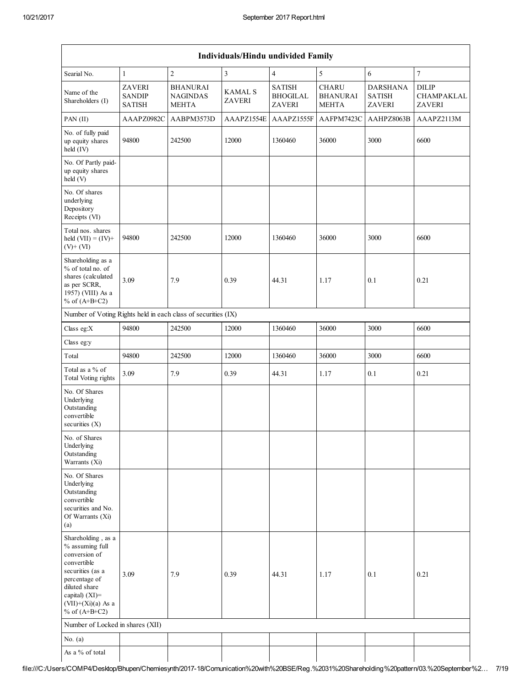| Individuals/Hindu undivided Family                                                                                                                                                          |                                                 |                                                    |                                 |                                                   |                                                 |                                                   |                                             |  |  |
|---------------------------------------------------------------------------------------------------------------------------------------------------------------------------------------------|-------------------------------------------------|----------------------------------------------------|---------------------------------|---------------------------------------------------|-------------------------------------------------|---------------------------------------------------|---------------------------------------------|--|--|
| Searial No.                                                                                                                                                                                 | $\mathbf{1}$                                    | $\boldsymbol{2}$                                   | $\mathfrak{Z}$                  | $\overline{4}$                                    | 5                                               | $\sqrt{6}$                                        | $\overline{7}$                              |  |  |
| Name of the<br>Shareholders (I)                                                                                                                                                             | <b>ZAVERI</b><br><b>SANDIP</b><br><b>SATISH</b> | <b>BHANURAI</b><br><b>NAGINDAS</b><br><b>MEHTA</b> | <b>KAMAL S</b><br><b>ZAVERI</b> | <b>SATISH</b><br><b>BHOGILAL</b><br><b>ZAVERI</b> | <b>CHARU</b><br><b>BHANURAI</b><br><b>MEHTA</b> | <b>DARSHANA</b><br><b>SATISH</b><br><b>ZAVERI</b> | <b>DILIP</b><br>CHAMPAKLAL<br><b>ZAVERI</b> |  |  |
| PAN (II)                                                                                                                                                                                    | AAAPZ0982C                                      | AABPM3573D                                         | AAAPZ1554E                      | AAAPZ1555F                                        | AAFPM7423C                                      | AAHPZ8063B                                        | AAAPZ2113M                                  |  |  |
| No. of fully paid<br>up equity shares<br>held (IV)                                                                                                                                          | 94800                                           | 242500                                             | 12000                           | 1360460                                           | 36000                                           | 3000                                              | 6600                                        |  |  |
| No. Of Partly paid-<br>up equity shares<br>held (V)                                                                                                                                         |                                                 |                                                    |                                 |                                                   |                                                 |                                                   |                                             |  |  |
| No. Of shares<br>underlying<br>Depository<br>Receipts (VI)                                                                                                                                  |                                                 |                                                    |                                 |                                                   |                                                 |                                                   |                                             |  |  |
| Total nos. shares<br>held $(VII) = (IV) +$<br>$(V)+(VI)$                                                                                                                                    | 94800                                           | 242500                                             | 12000                           | 1360460                                           | 36000                                           | 3000                                              | 6600                                        |  |  |
| Shareholding as a<br>% of total no. of<br>shares (calculated<br>as per SCRR,<br>1957) (VIII) As a<br>% of $(A+B+C2)$                                                                        | 3.09                                            | 7.9                                                | 0.39                            | 44.31                                             | 1.17                                            | 0.1                                               | 0.21                                        |  |  |
| Number of Voting Rights held in each class of securities (IX)                                                                                                                               |                                                 |                                                    |                                 |                                                   |                                                 |                                                   |                                             |  |  |
| Class eg:X                                                                                                                                                                                  | 94800                                           | 242500                                             | 12000                           | 1360460                                           | 36000                                           | 3000                                              | 6600                                        |  |  |
| Class eg:y                                                                                                                                                                                  |                                                 |                                                    |                                 |                                                   |                                                 |                                                   |                                             |  |  |
| Total                                                                                                                                                                                       | 94800                                           | 242500                                             | 12000                           | 1360460                                           | 36000                                           | 3000                                              | 6600                                        |  |  |
| Total as a $\%$ of<br><b>Total Voting rights</b>                                                                                                                                            | 3.09                                            | 7.9                                                | 0.39                            | 44.31                                             | 1.17                                            | 0.1                                               | 0.21                                        |  |  |
| No. Of Shares<br>Underlying<br>Outstanding<br>convertible<br>securities $(X)$                                                                                                               |                                                 |                                                    |                                 |                                                   |                                                 |                                                   |                                             |  |  |
| No. of Shares<br>Underlying<br>Outstanding<br>Warrants (Xi)                                                                                                                                 |                                                 |                                                    |                                 |                                                   |                                                 |                                                   |                                             |  |  |
| No. Of Shares<br>Underlying<br>Outstanding<br>convertible<br>securities and No.<br>Of Warrants (Xi)<br>(a)                                                                                  |                                                 |                                                    |                                 |                                                   |                                                 |                                                   |                                             |  |  |
| Shareholding, as a<br>% assuming full<br>conversion of<br>convertible<br>securities (as a<br>percentage of<br>diluted share<br>capital) $(XI)$ =<br>$(VII)+(Xi)(a)$ As a<br>% of $(A+B+C2)$ | 3.09                                            | 7.9                                                | 0.39                            | 44.31                                             | 1.17                                            | 0.1                                               | 0.21                                        |  |  |
| Number of Locked in shares (XII)                                                                                                                                                            |                                                 |                                                    |                                 |                                                   |                                                 |                                                   |                                             |  |  |
| No. $(a)$                                                                                                                                                                                   |                                                 |                                                    |                                 |                                                   |                                                 |                                                   |                                             |  |  |
| As a % of total                                                                                                                                                                             |                                                 |                                                    |                                 |                                                   |                                                 |                                                   |                                             |  |  |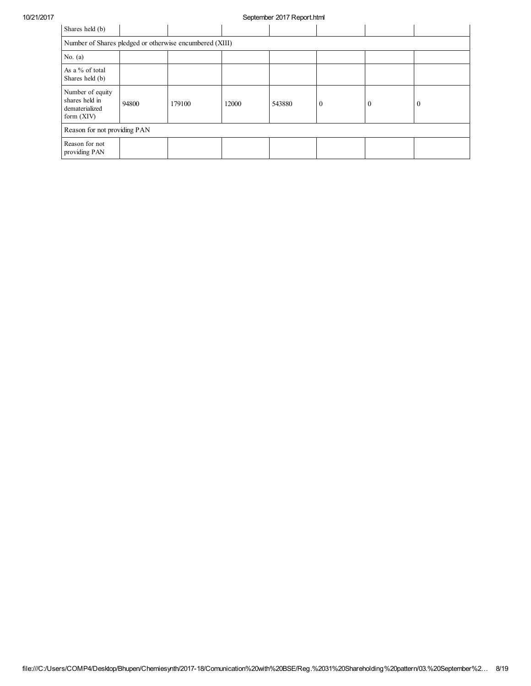## 10/21/2017 September 2017 Report.html

| Shares held (b)                                                      |                                                         |        |       |        |              |          |   |  |
|----------------------------------------------------------------------|---------------------------------------------------------|--------|-------|--------|--------------|----------|---|--|
|                                                                      | Number of Shares pledged or otherwise encumbered (XIII) |        |       |        |              |          |   |  |
| No. $(a)$                                                            |                                                         |        |       |        |              |          |   |  |
| As a % of total<br>Shares held (b)                                   |                                                         |        |       |        |              |          |   |  |
| Number of equity<br>shares held in<br>dematerialized<br>form $(XIV)$ | 94800                                                   | 179100 | 12000 | 543880 | $\mathbf{0}$ | $\theta$ | O |  |
| Reason for not providing PAN                                         |                                                         |        |       |        |              |          |   |  |
| Reason for not<br>providing PAN                                      |                                                         |        |       |        |              |          |   |  |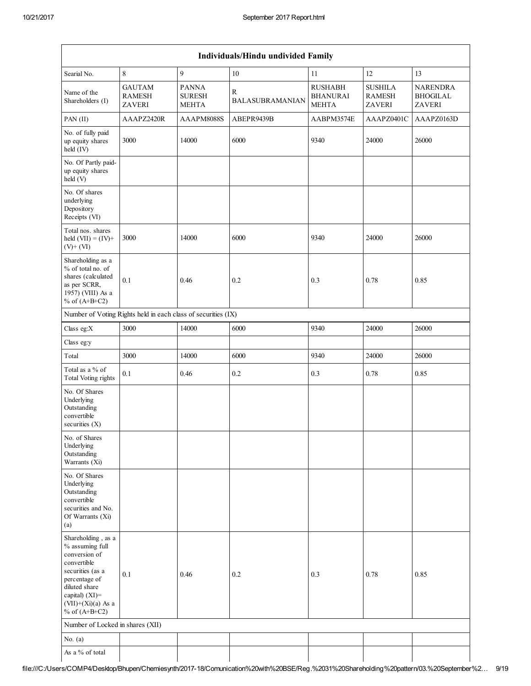|                                                                                                                                                                                             |                                                               |                                               | Individuals/Hindu undivided Family     |                                                   |                                                  |                                                     |
|---------------------------------------------------------------------------------------------------------------------------------------------------------------------------------------------|---------------------------------------------------------------|-----------------------------------------------|----------------------------------------|---------------------------------------------------|--------------------------------------------------|-----------------------------------------------------|
| Searial No.                                                                                                                                                                                 | $\,8\,$                                                       | 9                                             | 10                                     | 11                                                | 12                                               | 13                                                  |
| Name of the<br>Shareholders (I)                                                                                                                                                             | <b>GAUTAM</b><br><b>RAMESH</b><br><b>ZAVERI</b>               | <b>PANNA</b><br><b>SURESH</b><br><b>MEHTA</b> | $\mathbb{R}$<br><b>BALASUBRAMANIAN</b> | <b>RUSHABH</b><br><b>BHANURAI</b><br><b>MEHTA</b> | <b>SUSHILA</b><br><b>RAMESH</b><br><b>ZAVERI</b> | <b>NARENDRA</b><br><b>BHOGILAL</b><br><b>ZAVERI</b> |
| $PAN$ (II)                                                                                                                                                                                  | AAAPZ2420R                                                    | AAAPM8088S                                    | ABEPR9439B                             | AABPM3574E                                        | AAAPZ0401C                                       | AAAPZ0163D                                          |
| No. of fully paid<br>up equity shares<br>held (IV)                                                                                                                                          | 3000                                                          | 14000                                         | 6000                                   | 9340                                              | 24000                                            | 26000                                               |
| No. Of Partly paid-<br>up equity shares<br>held (V)                                                                                                                                         |                                                               |                                               |                                        |                                                   |                                                  |                                                     |
| No. Of shares<br>underlying<br>Depository<br>Receipts (VI)                                                                                                                                  |                                                               |                                               |                                        |                                                   |                                                  |                                                     |
| Total nos. shares<br>held $(VII) = (IV) +$<br>$(V)$ + $(VI)$                                                                                                                                | 3000                                                          | 14000                                         | 6000                                   | 9340                                              | 24000                                            | 26000                                               |
| Shareholding as a<br>% of total no. of<br>shares (calculated<br>as per SCRR,<br>1957) (VIII) As a<br>% of $(A+B+C2)$                                                                        | 0.1                                                           | 0.46                                          | 0.2                                    | 0.3                                               | 0.78                                             | 0.85                                                |
|                                                                                                                                                                                             | Number of Voting Rights held in each class of securities (IX) |                                               |                                        |                                                   |                                                  |                                                     |
| Class eg:X                                                                                                                                                                                  | 3000                                                          | 14000                                         | 6000                                   | 9340                                              | 24000                                            | 26000                                               |
| Class eg:y                                                                                                                                                                                  |                                                               |                                               |                                        |                                                   |                                                  |                                                     |
| Total                                                                                                                                                                                       | 3000                                                          | 14000                                         | 6000                                   | 9340                                              | 24000                                            | 26000                                               |
| Total as a % of<br><b>Total Voting rights</b>                                                                                                                                               | 0.1                                                           | 0.46                                          | 0.2                                    | 0.3                                               | 0.78                                             | 0.85                                                |
| No. Of Shares<br>Underlying<br>Outstanding<br>convertible<br>securities $(X)$                                                                                                               |                                                               |                                               |                                        |                                                   |                                                  |                                                     |
| No. of Shares<br>Underlying<br>Outstanding<br>Warrants (Xi)                                                                                                                                 |                                                               |                                               |                                        |                                                   |                                                  |                                                     |
| No. Of Shares<br>Underlying<br>Outstanding<br>convertible<br>securities and No.<br>Of Warrants (Xi)<br>(a)                                                                                  |                                                               |                                               |                                        |                                                   |                                                  |                                                     |
| Shareholding, as a<br>% assuming full<br>conversion of<br>convertible<br>securities (as a<br>percentage of<br>diluted share<br>capital) $(XI)$ =<br>$(VII)+(Xi)(a)$ As a<br>% of $(A+B+C2)$ | 0.1                                                           | 0.46                                          | 0.2                                    | 0.3                                               | 0.78                                             | 0.85                                                |
| Number of Locked in shares (XII)                                                                                                                                                            |                                                               |                                               |                                        |                                                   |                                                  |                                                     |
| No. $(a)$                                                                                                                                                                                   |                                                               |                                               |                                        |                                                   |                                                  |                                                     |
| As a % of total                                                                                                                                                                             |                                                               |                                               |                                        |                                                   |                                                  |                                                     |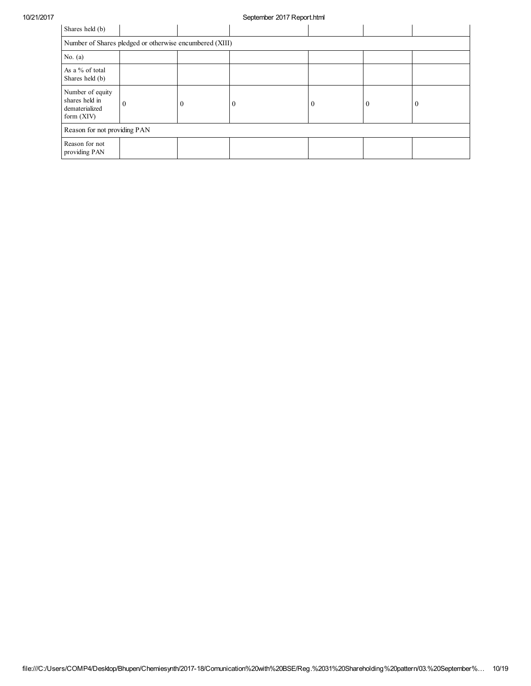## 10/21/2017 September 2017 Report.html

| Shares held (b)                                                      |                                                         |          |  |  |  |                |  |  |
|----------------------------------------------------------------------|---------------------------------------------------------|----------|--|--|--|----------------|--|--|
|                                                                      | Number of Shares pledged or otherwise encumbered (XIII) |          |  |  |  |                |  |  |
| No. $(a)$                                                            |                                                         |          |  |  |  |                |  |  |
| As a % of total<br>Shares held (b)                                   |                                                         |          |  |  |  |                |  |  |
| Number of equity<br>shares held in<br>dematerialized<br>form $(XIV)$ | $\theta$                                                | $\bf{0}$ |  |  |  | $\overline{0}$ |  |  |
| Reason for not providing PAN                                         |                                                         |          |  |  |  |                |  |  |
| Reason for not<br>providing PAN                                      |                                                         |          |  |  |  |                |  |  |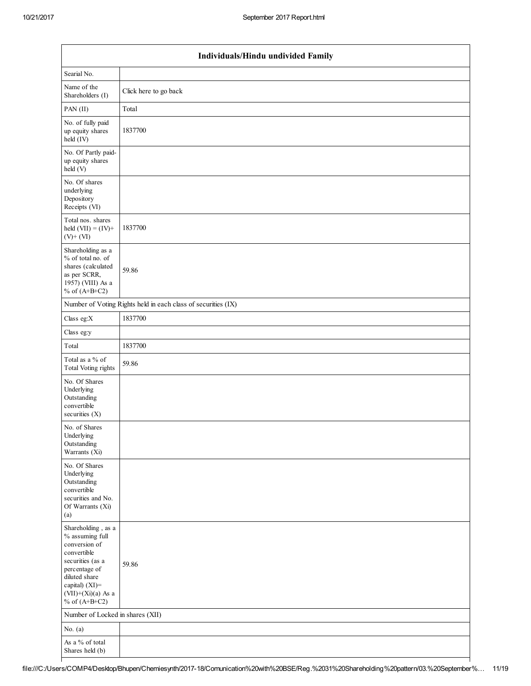| Individuals/Hindu undivided Family                                                                                                                                                       |                                                               |  |  |  |  |  |
|------------------------------------------------------------------------------------------------------------------------------------------------------------------------------------------|---------------------------------------------------------------|--|--|--|--|--|
| Searial No.                                                                                                                                                                              |                                                               |  |  |  |  |  |
| Name of the<br>Shareholders (I)                                                                                                                                                          | Click here to go back                                         |  |  |  |  |  |
| PAN (II)                                                                                                                                                                                 | Total                                                         |  |  |  |  |  |
| No. of fully paid<br>up equity shares<br>held (IV)                                                                                                                                       | 1837700                                                       |  |  |  |  |  |
| No. Of Partly paid-<br>up equity shares<br>held (V)                                                                                                                                      |                                                               |  |  |  |  |  |
| No. Of shares<br>underlying<br>Depository<br>Receipts (VI)                                                                                                                               |                                                               |  |  |  |  |  |
| Total nos. shares<br>held $(VII) = (IV) +$<br>$(V)$ + $(VI)$                                                                                                                             | 1837700                                                       |  |  |  |  |  |
| Shareholding as a<br>% of total no. of<br>shares (calculated<br>as per SCRR,<br>1957) (VIII) As a<br>% of $(A+B+C2)$                                                                     | 59.86                                                         |  |  |  |  |  |
|                                                                                                                                                                                          | Number of Voting Rights held in each class of securities (IX) |  |  |  |  |  |
| Class eg: $X$                                                                                                                                                                            | 1837700                                                       |  |  |  |  |  |
| Class eg:y                                                                                                                                                                               |                                                               |  |  |  |  |  |
| Total                                                                                                                                                                                    | 1837700                                                       |  |  |  |  |  |
| Total as a % of<br>Total Voting rights                                                                                                                                                   | 59.86                                                         |  |  |  |  |  |
| No. Of Shares<br>Underlying<br>Outstanding<br>convertible<br>securities $(X)$                                                                                                            |                                                               |  |  |  |  |  |
| No. of Shares<br>Underlying<br>Outstanding<br>Warrants (Xi)                                                                                                                              |                                                               |  |  |  |  |  |
| No. Of Shares<br>Underlying<br>Outstanding<br>convertible<br>securities and No.<br>Of Warrants (Xi)<br>(a)                                                                               |                                                               |  |  |  |  |  |
| Shareholding, as a<br>% assuming full<br>conversion of<br>convertible<br>securities (as a<br>percentage of<br>diluted share<br>capital) (XI)=<br>$(VII)+(Xi)(a)$ As a<br>% of $(A+B+C2)$ | 59.86                                                         |  |  |  |  |  |
| Number of Locked in shares (XII)                                                                                                                                                         |                                                               |  |  |  |  |  |
| No. $(a)$                                                                                                                                                                                |                                                               |  |  |  |  |  |
| As a % of total<br>Shares held (b)                                                                                                                                                       |                                                               |  |  |  |  |  |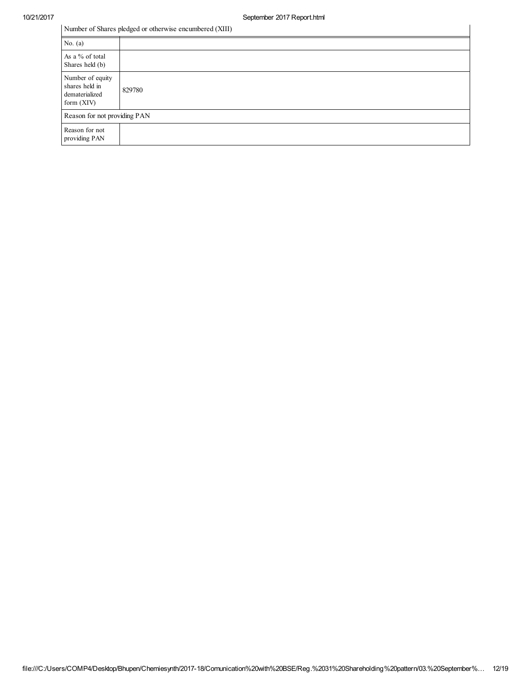| Number of Shares pledged or otherwise encumbered (XIII)              |                              |  |  |  |  |  |
|----------------------------------------------------------------------|------------------------------|--|--|--|--|--|
| No. $(a)$                                                            |                              |  |  |  |  |  |
| As a % of total<br>Shares held (b)                                   |                              |  |  |  |  |  |
| Number of equity<br>shares held in<br>dematerialized<br>form $(XIV)$ | 829780                       |  |  |  |  |  |
|                                                                      | Reason for not providing PAN |  |  |  |  |  |
| Reason for not<br>providing PAN                                      |                              |  |  |  |  |  |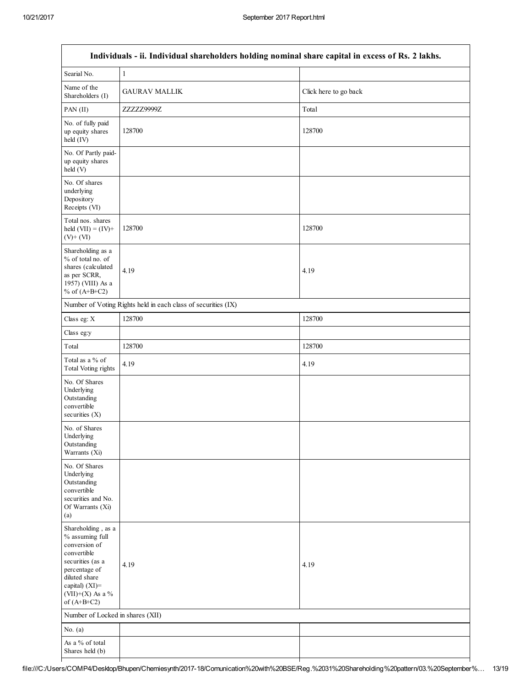| Individuals - ii. Individual shareholders holding nominal share capital in excess of Rs. 2 lakhs.                                                                                  |                                  |                       |  |  |
|------------------------------------------------------------------------------------------------------------------------------------------------------------------------------------|----------------------------------|-----------------------|--|--|
| Searial No.                                                                                                                                                                        | $\mathbf{1}$                     |                       |  |  |
| Name of the<br>Shareholders (I)                                                                                                                                                    | <b>GAURAV MALLIK</b>             | Click here to go back |  |  |
| PAN (II)                                                                                                                                                                           | ZZZZZ9999Z                       | Total                 |  |  |
| No. of fully paid<br>up equity shares<br>held (IV)                                                                                                                                 | 128700                           | 128700                |  |  |
| No. Of Partly paid-<br>up equity shares<br>held (V)                                                                                                                                |                                  |                       |  |  |
| No. Of shares<br>underlying<br>Depository<br>Receipts (VI)                                                                                                                         |                                  |                       |  |  |
| Total nos. shares<br>held $(VII) = (IV) +$<br>$(V)$ + $(VI)$                                                                                                                       | 128700                           | 128700                |  |  |
| Shareholding as a<br>% of total no. of<br>shares (calculated<br>as per SCRR,<br>1957) (VIII) As a<br>% of $(A+B+C2)$                                                               | 4.19                             | 4.19                  |  |  |
| Number of Voting Rights held in each class of securities (IX)                                                                                                                      |                                  |                       |  |  |
| Class eg: X                                                                                                                                                                        | 128700                           | 128700                |  |  |
| Class eg:y                                                                                                                                                                         |                                  |                       |  |  |
| Total                                                                                                                                                                              | 128700                           | 128700                |  |  |
| Total as a % of<br>Total Voting rights                                                                                                                                             | 4.19                             | 4.19                  |  |  |
| No. Of Shares<br>Underlying<br>Outstanding<br>convertible<br>securities $(X)$                                                                                                      |                                  |                       |  |  |
| No. of Shares<br>Underlying<br>Outstanding<br>Warrants (Xi)                                                                                                                        |                                  |                       |  |  |
| No. Of Shares<br>Underlying<br>Outstanding<br>convertible<br>securities and No.<br>Of Warrants (Xi)<br>(a)                                                                         |                                  |                       |  |  |
| Shareholding, as a<br>% assuming full<br>conversion of<br>convertible<br>securities (as a<br>percentage of<br>diluted share<br>capital) (XI)=<br>(VII)+(X) As a %<br>of $(A+B+C2)$ | 4.19                             | 4.19                  |  |  |
|                                                                                                                                                                                    | Number of Locked in shares (XII) |                       |  |  |
| No. $(a)$                                                                                                                                                                          |                                  |                       |  |  |
| As a % of total<br>Shares held (b)                                                                                                                                                 |                                  |                       |  |  |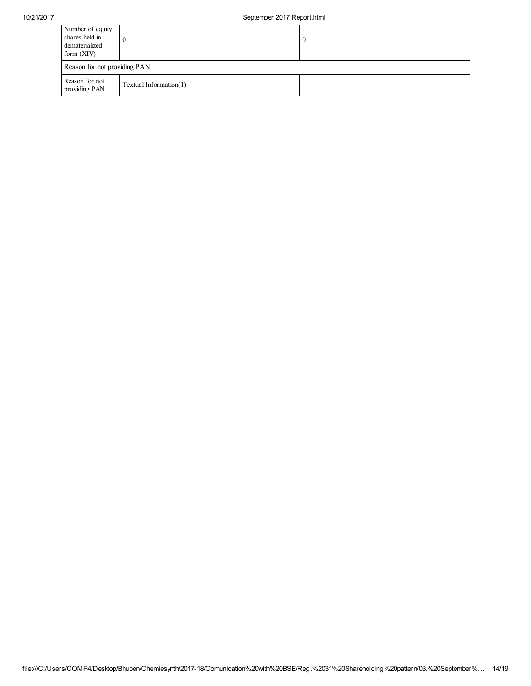## 10/21/2017 September 2017 Report.html

| Number of equity<br>shares held in<br>dematerialized<br>form $(XIV)$ |  | $\boldsymbol{0}$ |  |
|----------------------------------------------------------------------|--|------------------|--|
| Reason for not providing PAN                                         |  |                  |  |
| Reason for not<br>Textual Information(1)<br>providing PAN            |  |                  |  |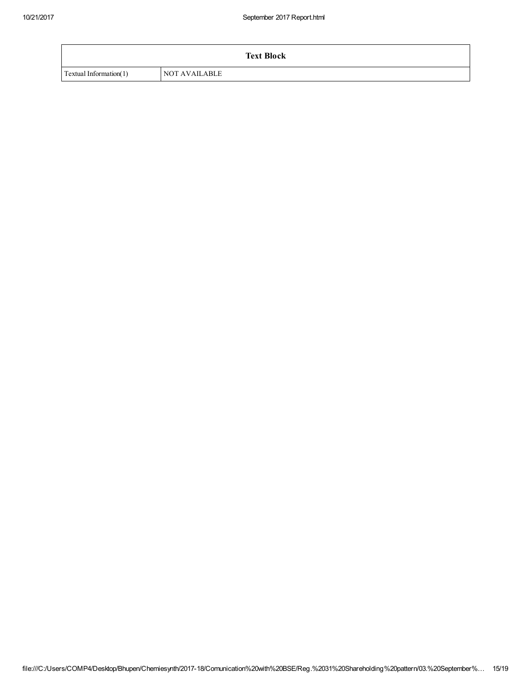| <b>Text Block</b>      |                      |  |
|------------------------|----------------------|--|
| Textual Information(1) | <b>NOT AVAILABLE</b> |  |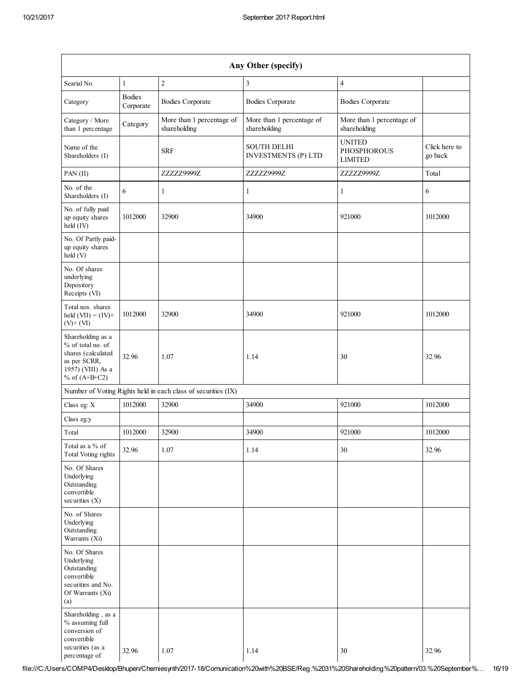| Any Other (specify)                                                                                                  |                            |                                                               |                                                  |                                                       |                          |
|----------------------------------------------------------------------------------------------------------------------|----------------------------|---------------------------------------------------------------|--------------------------------------------------|-------------------------------------------------------|--------------------------|
| Searial No.                                                                                                          | $\mathbf{1}$               | $\overline{2}$                                                | 3                                                | $\overline{4}$                                        |                          |
| Category                                                                                                             | <b>Bodies</b><br>Corporate | <b>Bodies Corporate</b>                                       | <b>Bodies Corporate</b>                          | <b>Bodies Corporate</b>                               |                          |
| Category / More<br>than 1 percentage                                                                                 | Category                   | More than 1 percentage of<br>shareholding                     | More than 1 percentage of<br>shareholding        | More than 1 percentage of<br>shareholding             |                          |
| Name of the<br>Shareholders (I)                                                                                      |                            | <b>SRF</b>                                                    | <b>SOUTH DELHI</b><br><b>INVESTMENTS (P) LTD</b> | <b>UNITED</b><br><b>PHOSPHOROUS</b><br><b>LIMITED</b> | Click here to<br>go back |
| $PAN$ (II)                                                                                                           |                            | ZZZZZ9999Z                                                    | ZZZZZ9999Z                                       | ZZZZZ9999Z                                            | Total                    |
| No. of the<br>Shareholders (I)                                                                                       | 6                          | 1                                                             | $\mathbf{1}$                                     | $\mathbf{1}$                                          | 6                        |
| No. of fully paid<br>up equity shares<br>held (IV)                                                                   | 1012000                    | 32900                                                         | 34900                                            | 921000                                                | 1012000                  |
| No. Of Partly paid-<br>up equity shares<br>held (V)                                                                  |                            |                                                               |                                                  |                                                       |                          |
| No. Of shares<br>underlying<br>Depository<br>Receipts (VI)                                                           |                            |                                                               |                                                  |                                                       |                          |
| Total nos. shares<br>held $(VII) = (IV) +$<br>$(V)$ + $(VI)$                                                         | 1012000                    | 32900                                                         | 34900                                            | 921000                                                | 1012000                  |
| Shareholding as a<br>% of total no. of<br>shares (calculated<br>as per SCRR,<br>1957) (VIII) As a<br>% of $(A+B+C2)$ | 32.96                      | 1.07                                                          | 1.14                                             | 30                                                    | 32.96                    |
|                                                                                                                      |                            | Number of Voting Rights held in each class of securities (IX) |                                                  |                                                       |                          |
| Class eg: $\mathbf X$                                                                                                | 1012000                    | 32900                                                         | 34900                                            | 921000                                                | 1012000                  |
| Class eg:y                                                                                                           |                            |                                                               |                                                  |                                                       |                          |
| Total                                                                                                                | 1012000                    | 32900                                                         | 34900                                            | 921000                                                | 1012000                  |
| Total as a % of<br>Total Voting rights                                                                               | 32.96                      | 1.07                                                          | 1.14                                             | 30                                                    | 32.96                    |
| No. Of Shares<br>Underlying<br>Outstanding<br>convertible<br>securities (X)                                          |                            |                                                               |                                                  |                                                       |                          |
| No. of Shares<br>Underlying<br>Outstanding<br>Warrants (Xi)                                                          |                            |                                                               |                                                  |                                                       |                          |
| No. Of Shares<br>Underlying<br>Outstanding<br>convertible<br>securities and No.<br>Of Warrants (Xi)<br>(a)           |                            |                                                               |                                                  |                                                       |                          |
| Shareholding, as a<br>% assuming full<br>conversion of<br>convertible<br>securities (as a<br>percentage of           | 32.96                      | 1.07                                                          | 1.14                                             | 30                                                    | 32.96                    |

file:///C:/Users/COMP4/Desktop/Bhupen/Chemiesynth/2017-18/Comunication%20with%20BSE/Reg.%2031%20Shareholding%20pattern/03.%20September%… 16/19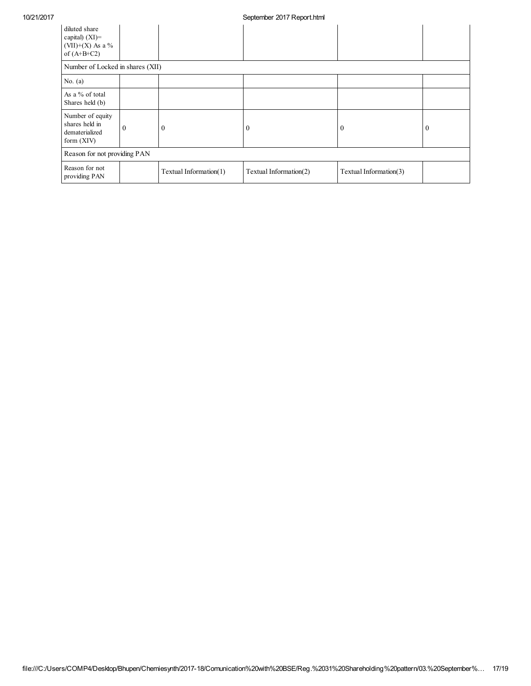| diluted share<br>capital) $(XI)$ =<br>$(VII)+(X)$ As a %<br>of $(A+B+C2)$ |              |                        |                        |                        |                |
|---------------------------------------------------------------------------|--------------|------------------------|------------------------|------------------------|----------------|
| Number of Locked in shares (XII)                                          |              |                        |                        |                        |                |
| No. $(a)$                                                                 |              |                        |                        |                        |                |
| As a % of total<br>Shares held (b)                                        |              |                        |                        |                        |                |
| Number of equity<br>shares held in<br>dematerialized<br>form (XIV)        | $\mathbf{0}$ | $\bf{0}$               | 0                      | $\bf{0}$               | $\overline{0}$ |
| Reason for not providing PAN                                              |              |                        |                        |                        |                |
| Reason for not<br>providing PAN                                           |              | Textual Information(1) | Textual Information(2) | Textual Information(3) |                |